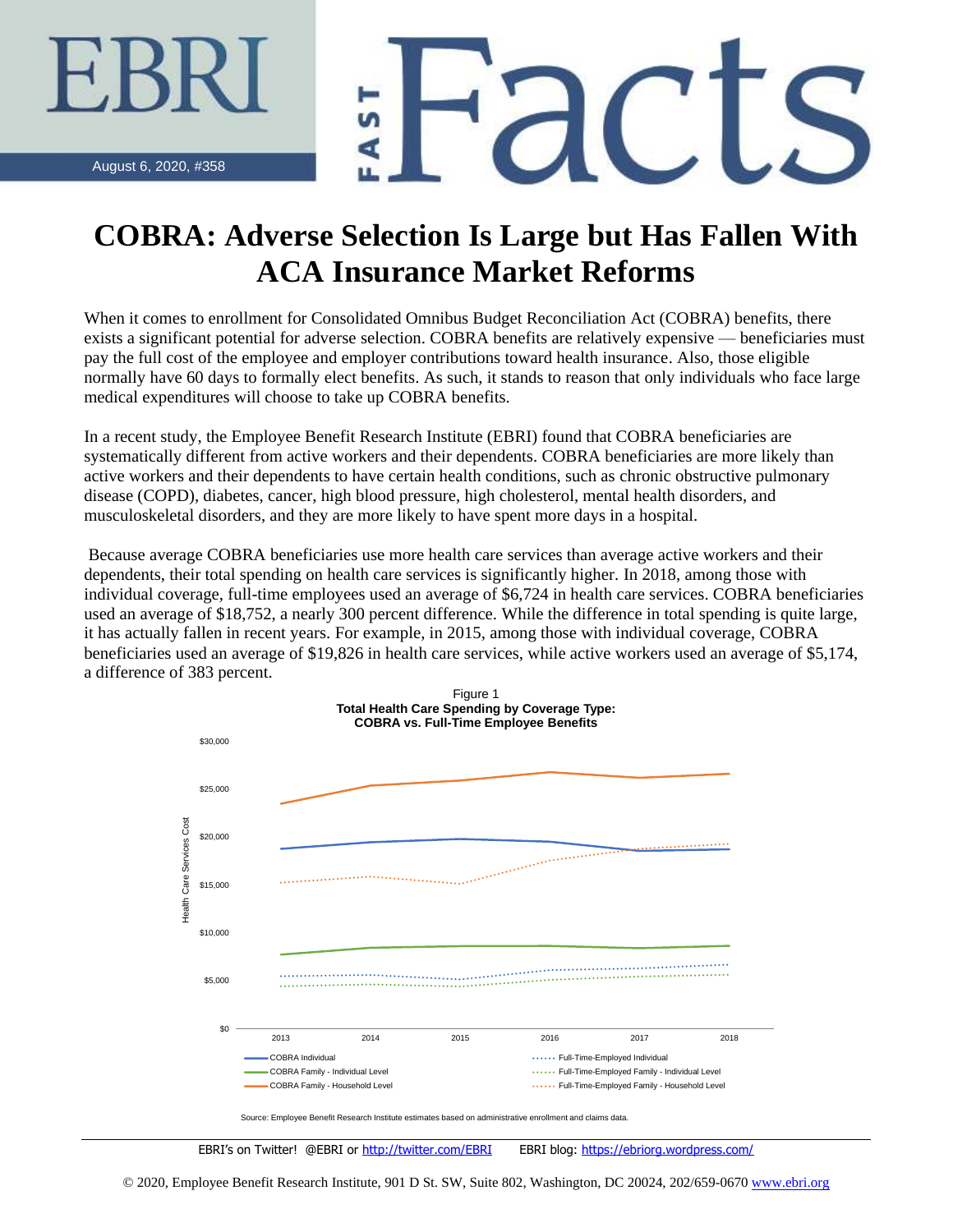$\mathbf{d}$  (

August 6, 2020, #358

## **COBRA: Adverse Selection Is Large but Has Fallen With ACA Insurance Market Reforms**

When it comes to enrollment for Consolidated Omnibus Budget Reconciliation Act (COBRA) benefits, there exists a significant potential for adverse selection. COBRA benefits are relatively expensive — beneficiaries must pay the full cost of the employee and employer contributions toward health insurance. Also, those eligible normally have 60 days to formally elect benefits. As such, it stands to reason that only individuals who face large medical expenditures will choose to take up COBRA benefits.

In a recent study, the Employee Benefit Research Institute (EBRI) found that COBRA beneficiaries are systematically different from active workers and their dependents. COBRA beneficiaries are more likely than active workers and their dependents to have certain health conditions, such as chronic obstructive pulmonary disease (COPD), diabetes, cancer, high blood pressure, high cholesterol, mental health disorders, and musculoskeletal disorders, and they are more likely to have spent more days in a hospital.

Because average COBRA beneficiaries use more health care services than average active workers and their dependents, their total spending on health care services is significantly higher. In 2018, among those with individual coverage, full-time employees used an average of \$6,724 in health care services. COBRA beneficiaries used an average of \$18,752, a nearly 300 percent difference. While the difference in total spending is quite large, it has actually fallen in recent years. For example, in 2015, among those with individual coverage, COBRA beneficiaries used an average of \$19,826 in health care services, while active workers used an average of \$5,174, a difference of 383 percent.



EBRI's on Twitter! @EBRI or <http://twitter.com/EBRI>EBRI blog:<https://ebriorg.wordpress.com/>

© 2020, Employee Benefit Research Institute, 901 D St. SW, Suite 802, Washington, DC 20024, 202/659-0670 [www.ebri.org](http://www.ebri.org/)